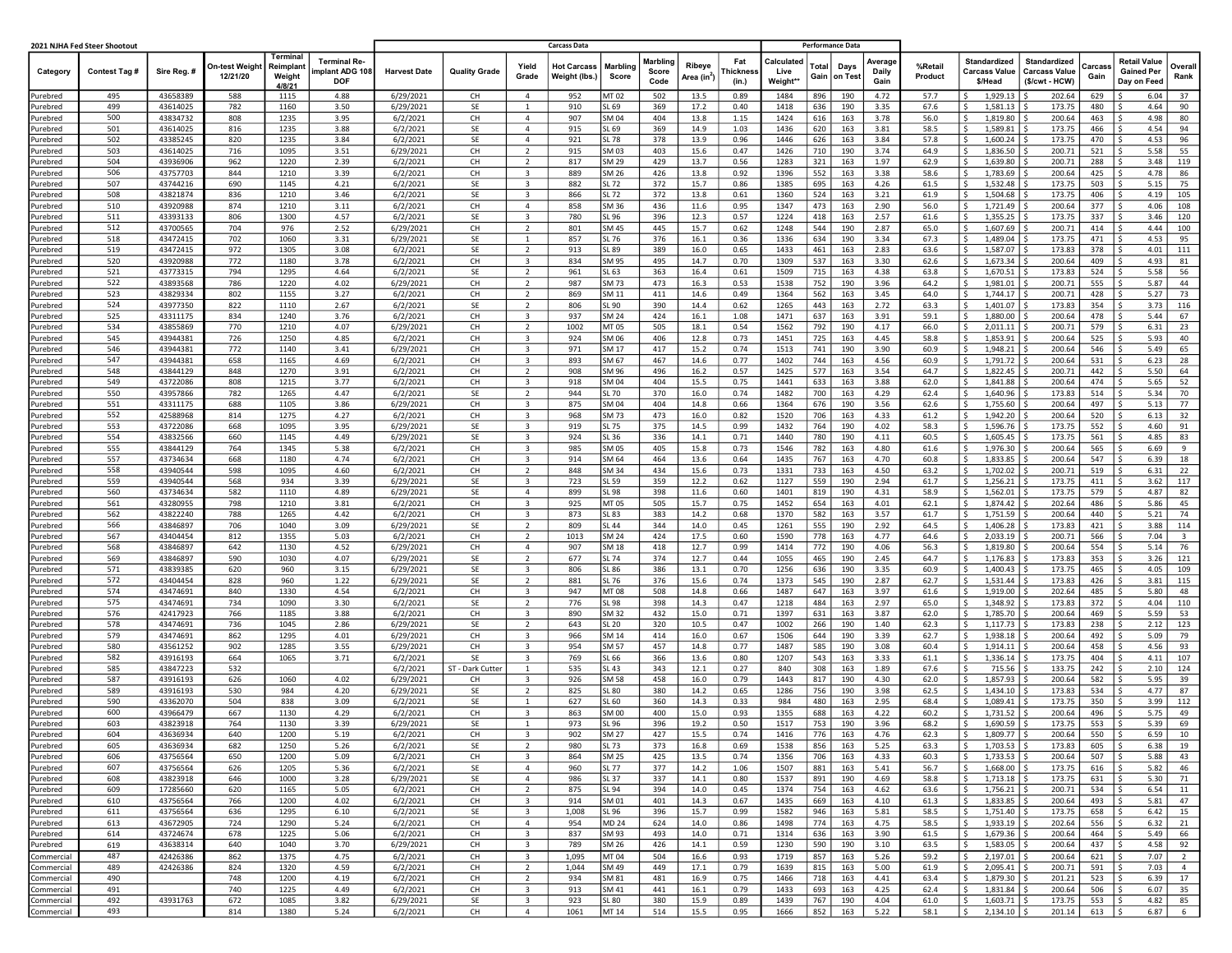|                          | 2021 NJHA Fed Steer Shootout |                      |                            |                                           |                                                     | <b>Carcass Data</b><br><b>Performance Data</b> |                      |                                           |                              |                          |                           |                                   |                          |                               |                                  |                          |                    |                                                 |                                                               |                |                                                         |                         |
|--------------------------|------------------------------|----------------------|----------------------------|-------------------------------------------|-----------------------------------------------------|------------------------------------------------|----------------------|-------------------------------------------|------------------------------|--------------------------|---------------------------|-----------------------------------|--------------------------|-------------------------------|----------------------------------|--------------------------|--------------------|-------------------------------------------------|---------------------------------------------------------------|----------------|---------------------------------------------------------|-------------------------|
| Category                 | Contest Tag #                | Sire Reg. #          | On-test Weight<br>12/21/20 | Terminal<br>Reimplant<br>Weight<br>4/8/21 | <b>Terminal Re-</b><br>mplant ADG 108<br><b>DOF</b> | <b>Harvest Date</b>                            | <b>Quality Grade</b> | Yield<br>Grade                            | Hot Carcass<br>Weight (lbs.) | <b>Marbling</b><br>Score | Marbling<br>Score<br>Code | Ribeve<br>Area (in <sup>2</sup> ) | Fat<br>'hicknes<br>(in.) | Calculated<br>Live<br>Weight* | Total<br>Days<br>Gain<br>on Test | Average<br>Daily<br>Gain | %Retail<br>Product | <b>Standardized</b><br>Carcass Value<br>\$/Head | <b>Standardized</b><br><b>Carcass Value</b><br>(\$/cwt - HCW) | Carcas<br>Gain | <b>Retail Value</b><br><b>Gained Per</b><br>Day on Feed | Overall<br>Rank         |
| Purebred                 | 495                          | 43658389             | 588                        | 1115                                      | 4.88                                                | 6/29/2021                                      | CH                   | $\overline{4}$                            | 952                          | MT 02                    | 502                       | 13.5                              | 0.89                     | 1484                          | 896<br>190                       | 4.72                     | 57.7               | 1,929.13<br>s                                   | 202.64                                                        | 629            | 6.04                                                    | 37                      |
| urebred                  | 499                          | 43614025             | 782                        | 1160                                      | 3.50                                                | 6/29/2021                                      | SE                   | 1                                         | 910                          | SL 69                    | 369                       | 17.2                              | 0.40                     | 1418                          | 636<br>190                       | 3.35                     | 67.6               | 1,581.13                                        | 173.75                                                        | 480            | 4.64                                                    | 90                      |
| urebred                  | 500<br>501                   | 43834732<br>43614025 | 808                        | 1235<br>1235                              | 3.95<br>3.88                                        | 6/2/2021                                       | CH<br>SE             | $\overline{4}$<br>4                       | 907<br>915                   | SM 04<br>SL 69           | 404                       | 13.8                              | 1.15                     | 1424<br>1436                  | 616<br>163                       | 3.78<br>3.81             | 56.0<br>58.5       | Ś<br>1,819.80<br>1,589.81<br>Ŝ                  | 200.64<br>173.75                                              | 463            | 4.98<br>4.54                                            | 80                      |
| urebred<br>urebred       | 502                          | 43385245             | 816<br>820                 | 1235                                      | 3.84                                                | 6/2/2021<br>6/2/2021                           | SE                   | $\overline{4}$                            | 921                          | SL 78                    | 369<br>378                | 14.9<br>13.9                      | 1.03<br>0.96             | 1446                          | 620<br>163<br>626<br>163         | 3.84                     | 57.8               | 1,600.24                                        | 173.75                                                        | 466<br>470     | 4.53                                                    | 94<br>96                |
| urebred                  | 503                          | 43614025             | 716                        | 1095                                      | 3.51                                                | 6/29/2021                                      | CH                   | $\overline{2}$                            | 915                          | SM 03                    | 403                       | 15.6                              | 0.47                     | 1426                          | 710<br>190                       | 3.74                     | 64.9               | Ś<br>1,836.50                                   | 200.71                                                        | 521            | 5.58                                                    | 55                      |
| urebred                  | 504                          | 43936906             | 962                        | 1220                                      | 2.39                                                | 6/2/2021                                       | CH                   | $\overline{2}$                            | 817                          | SM 29                    | 429                       | 13.7                              | 0.56                     | 1283                          | 321<br>163                       | 1.97                     | 62.9               | Š.<br>1,639.80                                  | 200.71                                                        | 288            | 3.48                                                    | 119                     |
| urebred                  | 506                          | 43757703             | 844                        | 1210                                      | 3.39                                                | 6/2/2021                                       | CH                   | $\overline{\mathbf{3}}$                   | 889                          | SM 26                    | 426                       | 13.8                              | 0.92                     | 1396                          | 552<br>163                       | 3.38                     | 58.6               | 1,783.69<br>Ś                                   | 200.64                                                        | 425            | 4.78                                                    | 86                      |
| urebred                  | 507                          | 43744216             | 690                        | 1145                                      | 4.21                                                | 6/2/2021                                       | SE                   | 3                                         | 882                          | SL 72                    | 372                       | 15.7                              | 0.86                     | 1385                          | 695<br>163                       | 4.26                     | 61.5               | Ś<br>1,532.48                                   | 173.75                                                        | 503            | 5.15                                                    | 75                      |
| urebred                  | 508<br>510                   | 43821874<br>43920988 | 836                        | 1210<br>1210                              | 3.46<br>3.11                                        | 6/2/2021                                       | SE<br>CH             | $\overline{\mathbf{3}}$<br>$\overline{4}$ | 866<br>858                   | <b>SL72</b><br>SM 36     | 372<br>436                | 13.8<br>11.6                      | 0.61                     | 1360                          | 524<br>163<br>473                | 3.21<br>2.90             | 61.9<br>56.0       | 1,504.68<br>Ŝ<br>$1,721.49$ \$<br>Ś             | 173.75<br>200.64                                              | 406<br>377     | 4.19<br>4.06                                            | 105<br>108              |
| urebred<br>urebred       | 511                          | 43393133             | 874<br>806                 | 1300                                      | 4.57                                                | 6/2/2021<br>6/2/2021                           | SE                   | $\overline{\mathbf{3}}$                   | 780                          | SL 96                    | 396                       | 12.3                              | 0.95<br>0.57             | 1347<br>1224                  | 163<br>418<br>163                | 2.57                     | 61.6               | 1,355.25<br>Ś                                   | 173.75                                                        | 337            | 3.46                                                    | 120                     |
| urebred                  | 512                          | 43700565             | 704                        | 976                                       | 2.52                                                | 6/29/2021                                      | CH                   | $\overline{2}$                            | 801                          | SM 45                    | 445                       | 15.7                              | 0.62                     | 1248                          | 544<br>190                       | 2.87                     | 65.0               | Ś<br>1,607.69                                   | 200.71                                                        | 414            | 4.44                                                    | 100                     |
| urebred                  | 518                          | 43472415             | 702                        | 1060                                      | 3.31                                                | 6/29/2021                                      | SE                   | $\overline{1}$                            | 857                          | SL 76                    | 376                       | 16.1                              | 0.36                     | 1336                          | 634<br>190                       | 3.34                     | 67.3               | Ŝ<br>1,489.04                                   | 173.75                                                        | 471            | 4.53                                                    | 95                      |
| urebred                  | 519                          | 43472415             | 972                        | 1305                                      | 3.08                                                | 6/2/2021                                       | SE                   | $\overline{2}$                            | 913                          | SL 89                    | 389                       | 16.0                              | 0.65                     | 1433                          | 461<br>163                       | 2.83                     | 63.6               | 1,587.07<br>Š.                                  | 173.83                                                        | 378            | 4.01                                                    | 111                     |
| urebred                  | 520                          | 43920988             | 772                        | 1180                                      | 3.78                                                | 6/2/2021                                       | CH                   | 3                                         | 834                          | SM 95                    | 495                       | 14.7                              | 0.70                     | 1309                          | 537<br>163                       | 3.30                     | 62.6               | 1,673.34<br>Ś                                   | 200.64                                                        | 409            | 4.93                                                    | 81                      |
| urebred                  | 521                          | 43773315             | 794                        | 1295                                      | 4.64                                                | 6/2/2021                                       | SE                   | $\overline{2}$                            | 961                          | SL 63                    | 363                       | 16.4                              | 0.61                     | 1509                          | 715<br>163                       | 4.38                     | 63.8               | Ś<br>$1,670.51$ \$                              | 173.83                                                        | 524            | 5.58                                                    | 56                      |
| urebred<br>urebred       | 522<br>523                   | 43893568<br>43829334 | 786<br>802                 | 1220<br>1155                              | 4.02<br>3.27                                        | 6/29/2021<br>6/2/2021                          | CH<br>CH             | $\overline{2}$<br>$\overline{2}$          | 987<br>869                   | SM 73<br>SM 11           | 473<br>411                | 16.3<br>14.6                      | 0.53<br>0.49             | 1538<br>1364                  | 752<br>190<br>562<br>163         | 3.96<br>3.45             | 64.2<br>64.0       | 1,981.01   \$<br>Ŝ<br>1,744.17<br>Ś             | 200.71<br>200.71                                              | 555<br>428     | 5.87<br>5.27                                            | 44<br>73                |
| urebred                  | 524                          | 43977350             | 822                        | 1110                                      | 2.67                                                | 6/2/2021                                       | SE                   | $\overline{2}$                            | 806                          | SL 90                    | 390                       | 14.4                              | 0.62                     | 1265                          | 443<br>163                       | 2.72                     | 63.3               | \$<br>1,401.07                                  | 173.83                                                        | 354            | 3.73                                                    | 116                     |
| urebred                  | 525                          | 43311175             | 834                        | 1240                                      | 3.76                                                | 6/2/2021                                       | CH                   | $\overline{\mathbf{3}}$                   | 937                          | <b>SM 24</b>             | 424                       | 16.1                              | 1.08                     | 1471                          | 637<br>163                       | 3.91                     | 59.1               | Š.<br>1,880.00                                  | 200.64                                                        | 478            | 5.44                                                    | 67                      |
| urebred                  | 534                          | 43855869             | 770                        | 1210                                      | 4.07                                                | 6/29/2021                                      | CH                   | $\overline{2}$                            | 1002                         | MT 05                    | 505                       | 18.1                              | 0.54                     | 1562                          | 792<br>190                       | 4.17                     | 66.0               | $2,011.11$ \$<br>Ś                              | 200.71                                                        | 579            | 6.31                                                    | 23                      |
| urebred                  | 545                          | 43944381             | 726                        | 1250                                      | 4.85                                                | 6/2/2021                                       | CH                   | $\overline{\mathbf{3}}$                   | 924                          | SM 06                    | 406                       | 12.8                              | 0.73                     | 1451                          | 725<br>163                       | 4.45                     | 58.8               | 1,853.91<br>Ś                                   | 200.64                                                        | 525            | 5.93                                                    | 40                      |
| urebred                  | 546                          | 43944381             | 772                        | 1140                                      | 3.41                                                | 6/29/2021                                      | CH                   | 3                                         | 971                          | SM 17                    | 417                       | 15.2                              | 0.74                     | 1513                          | 741<br>190                       | 3.90                     | 60.9               | 1,948.21<br>Ś                                   | 200.64                                                        | 546            | 5.49                                                    | 65                      |
| Purebred                 | 547                          | 43944381             | 658                        | 1165                                      | 4.69                                                | 6/2/2021                                       | CH                   | $\overline{\mathbf{3}}$                   | 893                          | SM 67                    | 467                       | 14.6                              | 0.77                     | 1402                          | 744<br>163                       | 4.56                     | 60.9               | Ś.<br>$1,791.72$ \$                             | 200.64                                                        | 531            | Ŝ.<br>6.23                                              | 28                      |
| urebred<br>urebred       | 548<br>549                   | 43844129<br>43722086 | 848<br>808                 | 1270<br>1215                              | 3.91<br>3.77                                        | 6/2/2021<br>6/2/2021                           | CH<br>CH             | 2<br>$\overline{\mathbf{3}}$              | 908<br>918                   | SM 96<br>SM 04           | 496<br>404                | 16.2<br>15.5                      | 0.57<br>0.75             | 1425<br>1441                  | 577<br>163<br>633<br>163         | 3.54<br>3.88             | 64.7<br>62.0       | Ś<br>1,822.45<br>1,841.88                       | 200.71<br>200.64                                              | 442<br>474     | 5.50<br>5.65                                            | 64<br>52                |
| urebred                  | 550                          | 43957866             | 782                        | 1265                                      | 4.47                                                | 6/2/2021                                       | SE                   | $\overline{2}$                            | 944                          | SL 70                    | 370                       | 16.0                              | 0.74                     | 1482                          | 700<br>163                       | 4.29                     | 62.4               | Ś<br>1,640.96                                   | 173.83                                                        | 514            | 5.34                                                    | 70                      |
| urebred                  | 551                          | 43311175             | 688                        | 1105                                      | 3.86                                                | 6/29/2021                                      | CH                   | $\overline{\mathbf{3}}$                   | 875                          | SM 04                    | 404                       | 14.8                              | 0.66                     | 1364                          | 676<br>190                       | 3.56                     | 62.6               | $1,755.60$ \$<br>Ŝ                              | 200.64                                                        | 497            | 5.13                                                    | 77                      |
| urebred                  | 552                          | 42588968             | 814                        | 1275                                      | 4.27                                                | 6/2/2021                                       | CH                   | $\overline{3}$                            | 968                          | SM 73                    | 473                       | 16.0                              | 0.82                     | 1520                          | 706<br>163                       | 4.33                     | 61.2               | 1,942.20<br>Ś                                   | 200.64                                                        | 520            | 6.13                                                    | 32                      |
| urebred                  | 553                          | 43722086             | 668                        | 1095                                      | 3.95                                                | 6/29/2021                                      | SE                   | 3                                         | 919                          | SL 75                    | 375                       | 14.5                              | 0.99                     | 1432                          | 764<br>190                       | 4.02                     | 58.3               | Ś<br>1,596.76                                   | 173.75                                                        | 552            | 4.60                                                    | 91                      |
| urebred                  | 554                          | 43832566             | 660                        | 1145                                      | 4.49                                                | 6/29/2021                                      | SE                   | $\overline{\mathbf{3}}$                   | 924                          | SL 36                    | 336                       | 14.1                              | 0.71                     | 1440                          | 780<br>190                       | 4.11                     | 60.5               | Š.<br>1,605.45                                  | 173.75                                                        | 561            | 4.85                                                    | 83                      |
| urebred                  | 555                          | 43844129             | 764                        | 1345                                      | 5.38                                                | 6/2/2021                                       | СH                   | $\overline{\mathbf{3}}$                   | 985                          | SM 05                    | 405                       | 15.8                              | 0.73                     | 1546                          | 782<br>163                       | 4.80                     | 61.6               | Ś<br>1,976.30                                   | 200.64                                                        | 565            | 6.69                                                    | 9                       |
| urebred                  | 557<br>558                   | 43734634<br>43940544 | 668<br>598                 | 1180<br>1095                              | 4.74<br>4.60                                        | 6/2/2021<br>6/2/2021                           | СH<br>СH             | 3<br>$\overline{2}$                       | 914<br>848                   | SM 64<br>SM 34           | 464<br>434                | 13.6<br>15.6                      | 0.64<br>0.73             | 1435<br>1331                  | 767<br>163<br>733<br>163         | 4.70<br>4.50             | 60.8<br>63.2       | 1,833.85<br>Ś<br>Ś<br>1,702.02                  | 200.64<br>200.71                                              | 547<br>519     | 6.39<br>6.31                                            | 18<br>22                |
| urebred<br>Purebred      | 559                          | 43940544             | 568                        | 934                                       | 3.39                                                | 6/29/2021                                      | SE                   | $\overline{\mathbf{3}}$                   | 723                          | SL 59                    | 359                       | 12.2                              | 0.62                     | 1127                          | 559<br>190                       | 2.94                     | 61.7               | Ś<br>$1,256.21$ \$                              | 173.75                                                        | 411            | 3.62                                                    | 117                     |
| urebred                  | 560                          | 43734634             | 582                        | 1110                                      | 4.89                                                | 6/29/2021                                      | SE                   | 4                                         | 899                          | SL 98                    | 398                       | 11.6                              | 0.60                     | 1401                          | 819<br>190                       | 4.31                     | 58.9               | Ś<br>1,562.01                                   | 173.75                                                        | 579            | 4.87                                                    | 82                      |
| urebred                  | 561                          | 43280955             | 798                        | 1210                                      | 3.81                                                | 6/2/2021                                       | CH                   | 3                                         | 925                          | MT 05                    | 505                       | 15.7                              | 0.75                     | 1452                          | 654<br>163                       | 4.01                     | 62.1               | 1,874.42                                        | 202.64                                                        | 486            | 5.86                                                    | 45                      |
| urebred                  | 562                          | 43822240             | 788                        | 1265                                      | 4.42                                                | 6/2/2021                                       | CH                   | $\overline{\mathbf{3}}$                   | 873                          | SL 83                    | 383                       | 14.2                              | 0.68                     | 1370                          | 582<br>163                       | 3.57                     | 61.7               | Ś<br>1,751.59                                   | 200.64                                                        | 440            | 5.21                                                    | 74                      |
| urebred                  | 566                          | 43846897             | 706                        | 1040                                      | 3.09                                                | 6/29/2021                                      | SE                   | $\overline{2}$                            | 809                          | SL 44                    | 344                       | 14.0                              | 0.45                     | 1261                          | 555<br>190                       | 2.92                     | 64.5               | 1,406.28<br>Š.                                  | 173.83                                                        | 421            | 3.88                                                    | 114                     |
| urebred                  | 567                          | 43404454             | 812                        | 1355                                      | 5.03                                                | 6/2/2021                                       | СH                   | $\overline{2}$<br>$\overline{4}$          | 1013                         | SM 24                    | 424                       | 17.5                              | 0.60                     | 1590                          | 778<br>163                       | 4.77                     | 64.6               | 2,033.19<br>Ś                                   | 200.71                                                        | 566            | 7.04                                                    | $\overline{\mathbf{3}}$ |
| urebred<br>urebred       | 568<br>569                   | 43846897<br>43846897 | 642<br>590                 | 1130<br>1030                              | 4.52<br>4.07                                        | 6/29/2021<br>6/29/2021                         | CH<br>SE             | $\overline{2}$                            | 907<br>677                   | SM 18<br><b>SL74</b>     | 418<br>374                | 12.7<br>12.7                      | 0.99<br>0.44             | 1414<br>1055                  | 772<br>190<br>465<br>190         | 4.06<br>2.45             | 56.3<br>64.7       | Ś<br>1,819.80<br>-S<br>1,176.83                 | 200.64<br>173.83                                              | 554<br>353     | 5.14<br>3.26                                            | 76<br>121               |
| urebred                  | 571                          | 43839385             | 620                        | 960                                       | 3.15                                                | 6/29/2021                                      | SE                   | 3                                         | 806                          | SL 86                    | 386                       | 13.1                              | 0.70                     | 1256                          | 636<br>190                       | 3.35                     | 60.9               | 1,400.43<br>Ś                                   | 173.75                                                        | 465            | 4.05                                                    | 109                     |
| urebred                  | 572                          | 43404454             | 828                        | 960                                       | 1.22                                                | 6/29/2021                                      | SE                   | $\overline{2}$                            | 881                          | SL 76                    | 376                       | 15.6                              | 0.74                     | 1373                          | 545<br>190                       | 2.87                     | 62.7               | 1,531.44<br>Ś                                   | 173.83                                                        | 426            | 3.81                                                    | 115                     |
| urebred                  | 574                          | 43474691             | 840                        | 1330                                      | 4.54                                                | 6/2/2021                                       | CH                   | $\overline{\mathbf{3}}$                   | 947                          | MT 08                    | 508                       | 14.8                              | 0.66                     | 1487                          | 647<br>163                       | 3.97                     | 61.6               | Š.<br>1,919.00                                  | 202.64                                                        | 485            | 5.80                                                    | 48                      |
| urebred                  | 575                          | 43474691             | 734                        | 1090                                      | 3.30                                                | 6/2/2021                                       | SE                   | $\overline{2}$                            | 776                          | SL 98                    | 398                       | 14.3                              | 0.47                     | 1218                          | 484<br>163                       | 2.97                     | 65.0               | Ś<br>1,348.92                                   | 173.83                                                        | 372            | 4.04                                                    | 110                     |
| urebred                  | 576                          | 42417923             | 766                        | 1185                                      | 3.88                                                | 6/2/2021                                       | CH                   | 3                                         | 890                          | SM 32                    | 432                       | 15.0                              | 0.71                     | 1397                          | 631<br>163                       | 3.87                     | 62.0               | Ś<br>1,785.70                                   | 200.64                                                        | 469            | 5.59                                                    | 53                      |
| urebred<br>urebred       | 578<br>579                   | 43474691<br>43474691 | 736<br>862                 | 1045<br>1295                              | 2.86<br>4.01                                        | 6/29/2021<br>6/29/2021                         | SE<br>CH             | $\overline{2}$<br>$\overline{\mathbf{3}}$ | 643<br>966                   | <b>SL 20</b><br>SM 14    | 320<br>414                | 10.5<br>16.0                      | 0.47<br>0.67             | 1002<br>1506                  | 266<br>190<br>644<br>190         | 1.40<br>3.39             | 62.3<br>62.7       | 1,117.73<br>$1,938.18$ \$<br>Ŝ                  | 173.83<br>200.64                                              | 238<br>492     | 2.12<br>5.09                                            | 123<br>79               |
| urebred                  | 580                          | 43561252             | 902                        | 1285                                      | 3.55                                                | 6/29/2021                                      | CH                   | $\overline{\mathbf{3}}$                   | 954                          | SM 57                    | 457                       | 14.8                              | 0.77                     | 1487                          | 585<br>190                       | 3.08                     | 60.4               | $1,914.11$   \$<br>Ś                            | 200.64                                                        | 458            | 4.56                                                    | 93                      |
| urebred                  | 582                          | 43916193             | 664                        | 1065                                      | 3.71                                                | 6/2/2021                                       | SE                   | 3                                         | 769                          | SL 66                    | 366                       | 13.6                              | 0.80                     | 1207                          | 543<br>163                       | 3.33                     | 61.1               | 1,336.14 \$<br>Ś                                | 173.75                                                        | 404            | 4.11                                                    | 107                     |
| urebred                  | 585                          | 43847223             | 532                        |                                           |                                                     | 6/2/2021                                       | ST - Dark Cutter     | $\overline{1}$                            | 535                          | SL 43                    | 343                       | 12.1                              | 0.27                     | 840                           | 308<br>163                       | 1.89                     | 67.6               | Ś<br>715.56                                     | 133.75                                                        | 242            | 2.10                                                    | 124                     |
| urebred                  | 587                          | 43916193             | 626                        | 1060                                      | 4.02                                                | 6/29/2021                                      | CH                   | $\overline{\mathbf{3}}$                   | 926                          | SM 58                    | 458                       | 16.0                              | 0.79                     | 1443                          | 817<br>190                       | 4.30                     | 62.0               | 1,857.93<br>Ŝ                                   | 200.64                                                        | 582            | 5.95                                                    | 39                      |
| urebred                  | 589                          | 43916193             | 530                        | 984                                       | 4.20                                                | 6/29/2021                                      | SE                   | $\overline{2}$                            | 825                          | SL 80                    | 380                       | 14.2                              | 0.65                     | 1286                          | 756<br>190                       | 3.98                     | 62.5               | 1,434.10<br>Ś                                   | 173.83                                                        | 534            | 4.77                                                    | 87                      |
| urebred                  | 590<br>600                   | 43362070             | 504                        | 838<br>1130                               | 3.09<br>4.29                                        | 6/2/2021                                       | SE<br>CH             | $\mathbf{1}$<br>$\overline{\mathbf{3}}$   | 627                          | SL 60<br>SM 00           | 360<br>400                | 14.3                              | 0.33                     | 984                           | 480<br>163<br>163                | 2.95                     | 68.4               | 1,089.41<br>Ś<br>Ś                              | 173.75                                                        | 350<br>496     | 3.99                                                    | 112                     |
| urebred<br>urebred       | 603                          | 43966479<br>43823918 | 667<br>764                 | 1130                                      | 3.39                                                | 6/2/2021<br>6/29/2021                          | SE                   | $\mathbf{1}$                              | 863<br>973                   | SL 96                    | 396                       | 15.0<br>19.2                      | 0.93<br>0.50             | 1355<br>1517                  | 688<br>753<br>190                | 4.22<br>3.96             | 60.2<br>68.2       | 1,731.52<br>Ś<br>1,690.59                       | 200.64<br>173.75                                              | 553            | 5.75<br>5.39                                            | 49<br>69                |
| Purebred                 | 604                          | 43636934             | 640                        | 1200                                      | 5.19                                                | 6/2/2021                                       | CН                   | 3                                         | 902                          | SM 27                    | 427                       | 15.5                              | 0.74                     | 1416                          | 776<br>163                       | 4.76                     | 62.3               | \$<br>1,809.77                                  | 200.64                                                        | 550            | 6.59                                                    | 10                      |
| Purebred                 | 605                          | 43636934             | 682                        | 1250                                      | 5.26                                                | 6/2/2021                                       | SE                   | $\overline{2}$                            | 980                          | SL 73                    | 373                       | 16.8                              | 0.69                     | 1538                          | 856<br>163                       | 5.25                     | 63.3               | \$<br>1,703.53                                  | 173.83                                                        | 605            | 6.38                                                    | 19                      |
| Purebred                 | 606                          | 43756564             | 650                        | 1200                                      | 5.09                                                | 6/2/2021                                       | CH                   | $\overline{\mathbf{3}}$                   | 864                          | SM 25                    | 425                       | 13.5                              | 0.74                     | 1356                          | 706<br>163                       | 4.33                     | 60.3               | S.<br>$1,733.53$ \$                             | 200.64                                                        | 507            | 5.88<br>S.                                              | 43                      |
| Purebred                 | 607                          | 43756564             | 626                        | 1205                                      | 5.36                                                | 6/2/2021                                       | SE                   | $\overline{4}$                            | 960                          | SL <sub>77</sub>         | 377                       | 14.2                              | 1.06                     | 1507                          | 881<br>163                       | 5.41                     | 56.7               | $1,668.00$ \$<br>Ś.                             | 173.75                                                        | 616            | 5.82<br>-S                                              | 46                      |
| Purebred                 | 608                          | 43823918             | 646                        | 1000                                      | 3.28                                                | 6/29/2021                                      | SE                   | $\overline{4}$                            | 986                          | SL 37                    | 337                       | 14.1                              | 0.80                     | 1537                          | 891<br>190                       | 4.69                     | 58.8               | \$.<br>1,713.18                                 | 173.75                                                        | 631            | 5.30<br>-S                                              | 71                      |
| Purebred                 | 609<br>610                   | 17285660<br>43756564 | 620                        | 1165                                      | 5.05<br>4.02                                        | 6/2/2021                                       | CH<br>CH             | $\overline{2}$<br>$\overline{\mathbf{3}}$ | 875                          | SL 94                    | 394                       | 14.0                              | 0.45                     | 1374                          | 754<br>163                       | 4.62                     | 63.6               | \$<br>$1,756.21$ \$<br>S.                       | 200.71                                                        | 534<br>493     | S.<br>6.54<br>5.81                                      | 11<br>47                |
| Purebred<br>Purebred     | 611                          | 43756564             | 766<br>636                 | 1200<br>1295                              | 6.10                                                | 6/2/2021<br>6/2/2021                           | SE                   | $\overline{\mathbf{3}}$                   | 914<br>1,008                 | SM 01<br>SL 96           | 401<br>396                | 14.3<br>15.7                      | 0.67<br>0.99             | 1435<br>1582                  | 669<br>163<br>946<br>163         | 4.10<br>5.81             | 61.3<br>58.5       | 1,833.85<br>\$<br>1,751.40 \$                   | 200.64<br>173.75                                              | 658            | 6.42<br>Ŝ                                               | 15                      |
| Purebred                 | 613                          | 43672905             | 724                        | 1290                                      | 5.24                                                | 6/2/2021                                       | CH                   | $\overline{4}$                            | 954                          | MD 24                    | 624                       | 14.0                              | 0.86                     | 1498                          | 774<br>163                       | 4.75                     | 58.5               | \$<br>$1,933.19$ \$                             | 202.64                                                        | 556            | S.<br>6.32                                              | 21                      |
| Purebred                 | 614                          | 43724674             | 678                        | 1225                                      | 5.06                                                | 6/2/2021                                       | CH                   | $\overline{\mathbf{3}}$                   | 837                          | SM 93                    | 493                       | 14.0                              | 0.71                     | 1314                          | 636<br>163                       | 3.90                     | 61.5               | S.<br>$1,679.36$ \$                             | 200.64                                                        | 464            | 5.49<br>S.                                              | 66                      |
| Purebred                 | 619                          | 43638314             | 640                        | 1040                                      | 3.70                                                | 6/29/2021                                      | CH                   | $\overline{\mathbf{3}}$                   | 789                          | SM 26                    | 426                       | 14.1                              | 0.59                     | 1230                          | 590<br>190                       | 3.10                     | 63.5               | -Ś<br>$1,583.05$ \$                             | 200.64                                                        | 437            | 4.58                                                    | 92                      |
| Commercial               | 487                          | 42426386             | 862                        | 1375                                      | 4.75                                                | 6/2/2021                                       | CH                   | $\overline{\mathbf{3}}$                   | 1,095                        | MT 04                    | 504                       | 16.6                              | 0.93                     | 1719                          | 857<br>163                       | 5.26                     | 59.2               | $2,197.01$ \$<br>S.                             | 200.64                                                        | 621            | 7.07                                                    | $\overline{2}$          |
| Commercial               | 489                          | 42426386             | 824                        | 1320                                      | 4.59                                                | 6/2/2021                                       | CH                   | $\overline{2}$                            | 1,044                        | SM 49                    | 449                       | 17.1                              | 0.79                     | 1639                          | 815<br>163                       | 5.00                     | 61.9               | \$<br>$2,095.41$ \$                             | 200.71                                                        | 591            | 7.03                                                    | $\overline{4}$          |
| Commercial               | 490                          |                      | 748                        | 1200                                      | 4.19                                                | 6/2/2021                                       | CH                   | $\overline{2}$                            | 934                          | SM 81                    | 481                       | 16.9                              | 0.75                     | 1466                          | 718<br>163                       | 4.41                     | 63.4               | S.<br>$1,879.30$ \$                             | 201.21                                                        | 523            | S.<br>6.39                                              | 17                      |
| Commercial<br>Commercial | 491<br>492                   | 43931763             | 740<br>672                 | 1225<br>1085                              | 4.49<br>3.82                                        | 6/2/2021<br>6/29/2021                          | CH<br>SE             | $\overline{\mathbf{3}}$<br>$\overline{3}$ | 913<br>923                   | SM 41<br>SL 80           | 441<br>380                | 16.1<br>15.9                      | 0.79<br>0.89             | 1433<br>1439                  | 693<br>163<br>767<br>190         | 4.25<br>4.04             | 62.4<br>61.0       | S.<br>$1,831.84$ \$<br>\$<br>$1,603.71$ \$      | 200.64<br>173.75                                              | 506<br>553     | 6.07<br>-S<br>4.82<br>S.                                | 35<br>85                |
| Commercial               | 493                          |                      | 814                        | 1380                                      | 5.24                                                | 6/2/2021                                       | CH                   | $\overline{4}$                            | 1061                         | MT 14                    | 514                       | 15.5                              | 0.95                     | 1666                          | 852<br>163                       | 5.22                     | 58.1               | \$<br>$2,134.10$ \$                             | 201.14                                                        | $613 \mid 5$   | 6.87                                                    | 6                       |